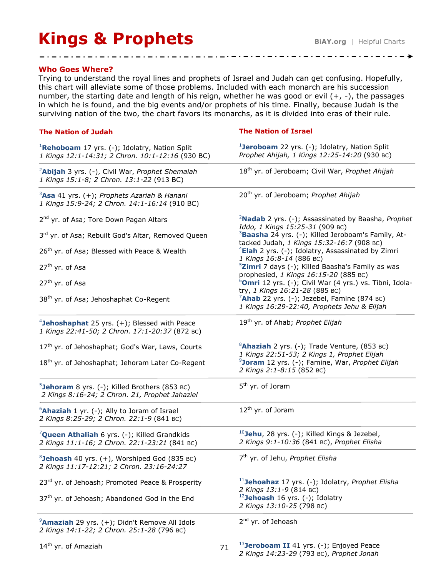## **Kings & Prophets BiAY.org** | Helpful Charts

-------------------**-**

## **Who Goes Where?**

Trying to understand the royal lines and prophets of Israel and Judah can get confusing. Hopefully, this chart will alleviate some of those problems. Included with each monarch are his succession number, the starting date and length of his reign, whether he was good or evil (+, -), the passages in which he is found, and the big events and/or prophets of his time. Finally, because Judah is the surviving nation of the two, the chart favors its monarchs, as it is divided into eras of their rule.

 $\mathbf{1} \mathbf{1} \mathbf{1} \mathbf{1} \mathbf{1} \mathbf{1} \mathbf{1} \mathbf{1} \mathbf{1} \mathbf{1} \mathbf{1} \mathbf{1} \mathbf{1} \mathbf{1} \mathbf{1} \mathbf{1} \mathbf{1} \mathbf{1} \mathbf{1} \mathbf{1} \mathbf{1} \mathbf{1} \mathbf{1} \mathbf{1} \mathbf{1} \mathbf{1} \mathbf{1} \mathbf{1} \mathbf{1} \mathbf{1} \mathbf{1} \mathbf{1} \mathbf{1} \mathbf{1} \mathbf{1} \mathbf{1} \mathbf{$ 

| <b>The Nation of Judah</b>                                                                                    | <b>The Nation of Israel</b>                                                                                 |
|---------------------------------------------------------------------------------------------------------------|-------------------------------------------------------------------------------------------------------------|
| <sup>1</sup> Rehoboam 17 yrs. (-); Idolatry, Nation Split<br>1 Kings 12:1-14:31; 2 Chron. 10:1-12:16 (930 BC) | <sup>1</sup> Jeroboam 22 yrs. (-); Idolatry, Nation Split<br>Prophet Ahijah, 1 Kings 12:25-14:20 (930 BC)   |
| <sup>2</sup> Abijah 3 yrs. (-), Civil War, Prophet Shemaiah<br>1 Kings 15:1-8; 2 Chron. 13:1-22 (913 BC)      | 18 <sup>th</sup> yr. of Jeroboam; Civil War, Prophet Ahijah                                                 |
| $3$ Asa 41 yrs. (+); Prophets Azariah & Hanani<br>1 Kings 15:9-24; 2 Chron. 14:1-16:14 (910 BC)               | 20 <sup>th</sup> yr. of Jeroboam; Prophet Ahijah                                                            |
| 2 <sup>nd</sup> yr. of Asa; Tore Down Pagan Altars                                                            | <sup>2</sup> Nadab 2 yrs. (-); Assassinated by Baasha, Prophet<br>Iddo, 1 Kings 15:25-31 (909 BC)           |
| 3rd yr. of Asa; Rebuilt God's Altar, Removed Queen                                                            | <sup>3</sup> Baasha 24 yrs. (-); Killed Jeroboam's Family, At-<br>tacked Judah, 1 Kings 15:32-16:7 (908 BC) |
| 26 <sup>th</sup> yr. of Asa; Blessed with Peace & Wealth                                                      | <sup>4</sup> Elah 2 yrs. (-); Idolatry, Assassinated by Zimri<br>1 Kings 16:8-14 (886 BC)                   |
| 27 <sup>th</sup> yr. of Asa                                                                                   | <sup>5</sup> Zimri 7 days (-); Killed Baasha's Family as was<br>prophesied, 1 Kings 16:15-20 (885 BC)       |
| 27 <sup>th</sup> yr. of Asa                                                                                   | <sup>6</sup> Omri 12 yrs. (-); Civil War (4 yrs.) vs. Tibni, Idola-<br>try, 1 Kings 16:21-28 (885 BC)       |
| 38 <sup>th</sup> yr. of Asa; Jehoshaphat Co-Regent                                                            | $7$ Ahab 22 yrs. (-); Jezebel, Famine (874 BC)<br>1 Kings 16:29-22:40, Prophets Jehu & Elijah               |
| <sup>4</sup> Jehoshaphat 25 yrs. $(+)$ ; Blessed with Peace<br>1 Kings 22:41-50; 2 Chron. 17:1-20:37 (872 BC) | 19 <sup>th</sup> yr. of Ahab; Prophet Elijah                                                                |
| 17 <sup>th</sup> yr. of Jehoshaphat; God's War, Laws, Courts                                                  | <sup>8</sup> Ahaziah 2 yrs. (-); Trade Venture, (853 BC)<br>1 Kings 22:51-53; 2 Kings 1, Prophet Elijah     |
| 18 <sup>th</sup> yr. of Jehoshaphat; Jehoram Later Co-Regent                                                  | <sup>9</sup> Joram 12 yrs. (-); Famine, War, Prophet Elijah<br>2 Kings 2:1-8:15 (852 BC)                    |
| $5$ <b>Jehoram</b> 8 yrs. (-); Killed Brothers (853 BC)<br>2 Kings 8:16-24; 2 Chron. 21, Prophet Jahaziel     | 5 <sup>th</sup> yr. of Joram                                                                                |
| <sup>6</sup> Ahaziah 1 yr. (-); Ally to Joram of Israel<br>2 Kings 8:25-29; 2 Chron. 22:1-9 (841 BC)          | 12 <sup>th</sup> yr. of Joram                                                                               |
| <sup>7</sup> Queen Athaliah 6 yrs. (-); Killed Grandkids<br>2 Kings 11:1-16; 2 Chron. 22:1-23:21 (841 BC)     | $^{10}$ Jehu, 28 yrs. (-); Killed Kings & Jezebel,<br>2 Kings 9:1-10:36 (841 BC), Prophet Elisha            |
| <sup>8</sup> Jehoash 40 yrs. (+), Worshiped God (835 BC)<br>2 Kings 11:17-12:21; 2 Chron. 23:16-24:27         | 7 <sup>th</sup> yr. of Jehu, Prophet Elisha                                                                 |
| 23rd yr. of Jehoash; Promoted Peace & Prosperity                                                              | <sup>11</sup> Jehoahaz 17 yrs. (-); Idolatry, Prophet Elisha<br>2 Kings 13:1-9 (814 BC)                     |
| 37 <sup>th</sup> yr. of Jehoash; Abandoned God in the End                                                     | <sup>12</sup> Jehoash 16 yrs. $(-)$ ; Idolatry<br>2 Kings 13:10-25 (798 BC)                                 |
| <sup>9</sup> Amaziah 29 yrs. (+); Didn't Remove All Idols<br>2 Kings 14:1-22; 2 Chron. 25:1-28 (796 BC)       | 2 <sup>nd</sup> yr. of Jehoash                                                                              |

<sup>13</sup>**Jeroboam II** 41 yrs. (-); Enjoyed Peace *2 Kings 14:23-29* (793 BC), *Prophet Jonah* 71